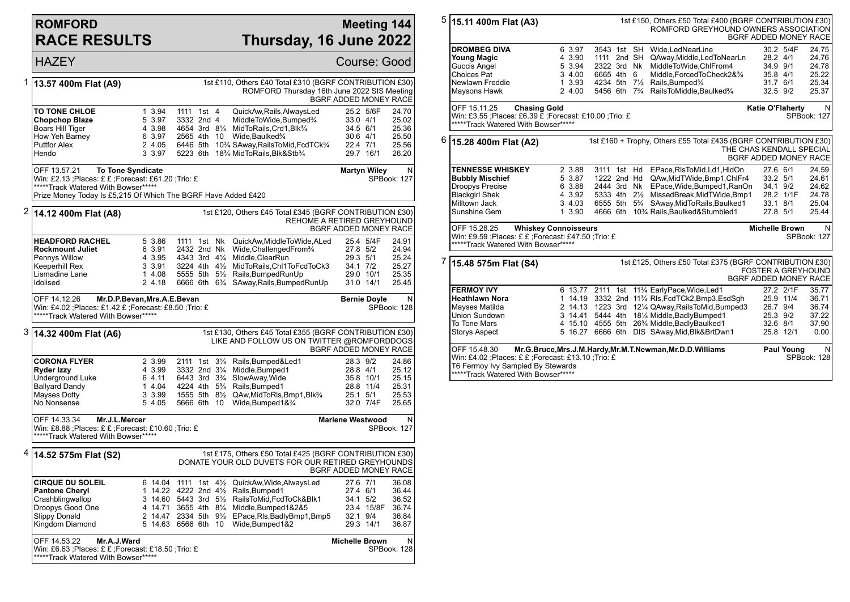## **ROMFORD RACE RESULTS**

## **Meeting 144 Thursday, 16 June 2022**

|   | <b>HAZEY</b>                                                                                                                                                                                              |                                                          |                                                                                                                                   |                                                                                                                                                                                                                                                                                    | Course: Good                                                               |                                                    |  |
|---|-----------------------------------------------------------------------------------------------------------------------------------------------------------------------------------------------------------|----------------------------------------------------------|-----------------------------------------------------------------------------------------------------------------------------------|------------------------------------------------------------------------------------------------------------------------------------------------------------------------------------------------------------------------------------------------------------------------------------|----------------------------------------------------------------------------|----------------------------------------------------|--|
| 1 | 13.57 400m Flat (A9)                                                                                                                                                                                      |                                                          |                                                                                                                                   | 1st £110, Others £40 Total £310 (BGRF CONTRIBUTION £30)<br>ROMFORD Thursday 16th June 2022 SIS Meeting                                                                                                                                                                             | BGRF ADDED MONEY RACE                                                      |                                                    |  |
|   | <b>TO TONE CHLOE</b><br><b>Chopchop Blaze</b><br>Boars Hill Tiger<br>How Yeh Barney<br><b>Puttfor Alex</b><br>Hendo                                                                                       | 1 3.94<br>5 3.97<br>4 3.98<br>6 3.97<br>2 4.05<br>3 3.97 | 1111 1st 4<br>3332 2nd 4<br>2565 4th 10                                                                                           | QuickAw, Rails, AlwaysLed<br>MiddleToWide, Bumped%<br>4654 3rd 81/4 MidToRails, Crd1, Blk3/4<br>Wide, Baulked <sup>3</sup> / <sub>4</sub><br>6446 5th 10 <sup>3</sup> / <sub>4</sub> SAway, Rails To Mid, Fcd TCk <sup>3</sup> / <sub>4</sub><br>5223 6th 18% MidToRails, Blk&Stb% | 25.2 5/6F<br>$33.0$ 4/1<br>34.5 6/1<br>$30.6$ 4/1<br>22.4 7/1<br>29.7 16/1 | 24.70<br>25.02<br>25.36<br>25.50<br>25.56<br>26.20 |  |
|   | OFF 13.57.21<br><b>To Tone Syndicate</b><br>Win: £2.13 ; Places: £ £ ; Forecast: £61.20 ; Trio: £<br>*****Track Watered With Bowser*****<br>Prize Money Today Is £5,215 Of Which The BGRF Have Added £420 |                                                          |                                                                                                                                   |                                                                                                                                                                                                                                                                                    | <b>Martyn Wiley</b>                                                        | N<br>SPBook: 127                                   |  |
|   | $2 $ 14.12 400m Flat (A8)                                                                                                                                                                                 |                                                          |                                                                                                                                   | 1st £120, Others £45 Total £345 (BGRF CONTRIBUTION £30)<br>REHOME A RETIRED GREYHOUND                                                                                                                                                                                              | BGRF ADDED MONEY RACE                                                      |                                                    |  |
|   | <b>HEADFORD RACHEL</b><br><b>Rockmount Juliet</b><br>Pennys Willow<br>Keeperhill Rex<br>Lismadine Lane<br>Idolised                                                                                        | 5 3.86<br>6 3.91<br>4 3.95<br>3 3.91<br>1 4.08<br>2 4.18 | 1111 1st Nk<br>2432 2nd Nk<br>4343 3rd 41⁄4<br>3224 4th 41/2                                                                      | QuickAw, MiddleToWide, ALed<br>Wide, Challenged From 3/4<br>Middle, ClearRun<br>MidToRails, Chl1ToFcdToCk3<br>5555 5th 51/2 Rails, Bumped RunUp<br>6666 6th 6 <sup>3</sup> / <sub>4</sub> SAway, Rails, Bumped Run Up                                                              | 25.4 5/4F<br>27.8 5/2<br>29.3 5/1<br>34.1 7/2<br>29.0 10/1<br>31.0 14/1    | 24.91<br>24.94<br>25.24<br>25.27<br>25.35<br>25.45 |  |
|   | OFF 14.12.26<br>Win: £4.02 ; Places: £1.42 £ ; Forecast: £8.50 ; Trio: £<br>*****Track Watered With Bowser*****                                                                                           | Mr.D.P.Bevan, Mrs.A.E.Bevan                              |                                                                                                                                   |                                                                                                                                                                                                                                                                                    | <b>Bernie Doyle</b>                                                        | N<br>SPBook: 128                                   |  |
| 3 | 14.32 400m Flat (A6)                                                                                                                                                                                      |                                                          |                                                                                                                                   | 1st £130, Others £45 Total £355 (BGRF CONTRIBUTION £30)<br>LIKE AND FOLLOW US ON TWITTER @ROMFORDDOGS                                                                                                                                                                              | BGRF ADDED MONEY RACE                                                      |                                                    |  |
|   | <b>CORONA FLYER</b><br>Ryder Izzy<br>Underground Luke<br>Ballyard Dandy<br>Mayses Dotty<br>No Nonsense                                                                                                    | 2 3.99<br>4 3.99<br>6 4.11<br>1 4.04<br>3 3.99<br>5 4.05 | 2111 1st 31/4<br>3332 2nd 31/4<br>6443 3rd 3 <sup>3</sup> / <sub>4</sub><br>4224 4th 5 <sup>3</sup> / <sub>4</sub><br>5666 6th 10 | Rails, Bumped&Led1<br>Middle, Bumped1<br>SlowAway, Wide<br>Rails, Bumped1<br>1555 5th 81/2 QAw, Mid To RIs, Bmp1, Blk3/4<br>Wide, Bumped 1& 3/4                                                                                                                                    | 28.3 9/2<br>28.8 4/1<br>35.8 10/1<br>28.8 11/4<br>25.1 5/1<br>32.0 7/4F    | 24.86<br>25.12<br>25.15<br>25.31<br>25.53<br>25.65 |  |
|   | OFF 14.33.34<br>Mr.J.L.Mercer<br><b>Marlene Westwood</b><br>Win: £8.88 ;Places: £ £ ;Forecast: £10.60 ;Trio: £<br>SPBook: 127<br>*****Track Watered With Bowser*****                                      |                                                          |                                                                                                                                   |                                                                                                                                                                                                                                                                                    |                                                                            |                                                    |  |
| 4 | 14.52 575m Flat (S2)                                                                                                                                                                                      |                                                          |                                                                                                                                   | 1st £175, Others £50 Total £425 (BGRF CONTRIBUTION £30)<br>DONATE YOUR OLD DUVETS FOR OUR RETIRED GREYHOUNDS                                                                                                                                                                       | BGRF ADDED MONEY RACE                                                      |                                                    |  |
|   | <b>CIRQUE DU SOLEIL</b><br><b>Pantone Cheryl</b><br>Crashblingwallop<br>Droopys Good One<br><b>Slippy Donald</b><br>Kingdom Diamond                                                                       | 4 14.71<br>2 14.47                                       | 3 14.60 5443 3rd 51/2<br>5 14.63 6566 6th<br>10                                                                                   | 6 14.04 1111 1st 41/2 QuickAw, Wide, Always Led<br>1 14.22 4222 2nd 41/2 Rails, Bumped 1<br>RailsToMid,FcdToCk&Blk1<br>3655 4th 81/4 Middle, Bumped 1&2&5<br>2334 5th 91/ <sub>2</sub> EPace, RIs, Badly Bmp1, Bmp5<br>Wide, Bumped 1&2                                            | 27.6 7/1<br>27.4 6/1<br>34.1 5/2<br>23.4 15/8F<br>32.1 9/4<br>29.3 14/1    | 36.08<br>36.44<br>36.52<br>36.74<br>36.84<br>36.87 |  |
|   | OFF 14.53.22<br>Mr.A.J.Ward<br>Win: £6.63 ;Places: £ £ ;Forecast: £18.50 ;Trio: £<br>*****Track Watered With Bowser*****                                                                                  |                                                          |                                                                                                                                   |                                                                                                                                                                                                                                                                                    | <b>Michelle Brown</b>                                                      | N<br>SPBook: 128                                   |  |

| 5                                                                                                                                                                                                                                                  | 15.11 400m Flat (A3)                                                                                                                 |                                                          |                                                                                                     |  | 1st £150, Others £50 Total £400 (BGRF CONTRIBUTION £30)<br>ROMFORD GREYHOUND OWNERS ASSOCIATION                                                                                                                                                                                                                              | BGRF ADDED MONEY RACE                                    |                                     |                                                    |
|----------------------------------------------------------------------------------------------------------------------------------------------------------------------------------------------------------------------------------------------------|--------------------------------------------------------------------------------------------------------------------------------------|----------------------------------------------------------|-----------------------------------------------------------------------------------------------------|--|------------------------------------------------------------------------------------------------------------------------------------------------------------------------------------------------------------------------------------------------------------------------------------------------------------------------------|----------------------------------------------------------|-------------------------------------|----------------------------------------------------|
|                                                                                                                                                                                                                                                    | <b>DROMBEG DIVA</b><br><b>Young Magic</b><br>Guccis Angel<br>Choices Pat<br>Newlawn Freddie<br>Maysons Hawk                          | 6 3.97<br>4 3.90<br>5 3.94<br>3 4.00<br>1 3.93<br>2 4.00 | 1111 2nd SH<br>2322 3rd Nk<br>6665 4th 6<br>4234 5th 71/2<br>5456 6th 7 <sup>3</sup> / <sub>4</sub> |  | 3543 1st SH Wide.LedNearLine<br>QAway, Middle, Led To Near Ln<br>MiddleToWide.ChlFrom4<br>Middle, Forced To Check 2& 3/4<br>Rails, Bumped <sup>3</sup> /4<br>RailsToMiddle, Baulked%                                                                                                                                         | 28.2 4/1<br>34.9 9/1<br>35.8 4/1<br>31.7 6/1<br>32.5 9/2 | 30.2 5/4F                           | 24.75<br>24.76<br>24.78<br>25.22<br>25.34<br>25.37 |
|                                                                                                                                                                                                                                                    | OFF 15.11.25<br><b>Chasing Gold</b><br>Win: £3.55 ;Places: £6.39 £ ;Forecast: £10.00 ;Trio: £<br>*****Track Watered With Bowser***** |                                                          |                                                                                                     |  |                                                                                                                                                                                                                                                                                                                              | <b>Katie O'Flaherty</b>                                  |                                     | N<br>SPBook: 127                                   |
| 6                                                                                                                                                                                                                                                  | 15.28 400m Flat (A2)                                                                                                                 |                                                          |                                                                                                     |  | 1st £160 + Trophy, Others £55 Total £435 (BGRF CONTRIBUTION £30)<br>THE CHAS KENDALL SPECIAL                                                                                                                                                                                                                                 | <b>BGRF ADDED MONEY RACE</b>                             |                                     |                                                    |
|                                                                                                                                                                                                                                                    | <b>TENNESSE WHISKEY</b><br><b>Bubbly Mischief</b><br>Droopys Precise<br><b>Blackgirl Shek</b><br>Milltown Jack<br>Sunshine Gem       | 2 3.88<br>5 3.87<br>6 3.88<br>4 3.92<br>3 4.03<br>1 3.90 | 3111 1st Hd<br>1222 2nd Hd<br>2444 3rd Nk<br>5333 4th 21/2                                          |  | EPace, RIsToMid, Ld1, HIdOn<br>QAw, MidTWide, Bmp1, ChlFr4<br>EPace, Wide, Bumped 1, RanOn<br>MissedBreak, MidTWide, Bmp1<br>6555 5th 5 <sup>3</sup> / <sub>4</sub> SAway, Mid To Rails, Baulked 1<br>4666 6th 10 <sup>3</sup> / <sub>4</sub> Rails, Baulked&Stumbled1                                                       | 27.6 6/1<br>33.2 5/1<br>34.1 9/2<br>33.1 8/1<br>27.8 5/1 | 28.2 1/1F                           | 24.59<br>24.61<br>24.62<br>24.78<br>25.04<br>25.44 |
|                                                                                                                                                                                                                                                    | OFF 15.28.25<br>Win: £9.59 ; Places: £ £ ; Forecast: £47.50 ; Trio: £<br>*****Track Watered With Bowser*****                         | <b>Whiskey Connoisseurs</b>                              |                                                                                                     |  |                                                                                                                                                                                                                                                                                                                              | <b>Michelle Brown</b>                                    |                                     | N<br>SPBook: 127                                   |
| 7                                                                                                                                                                                                                                                  | 15.48 575m Flat (S4)                                                                                                                 |                                                          |                                                                                                     |  | 1st £125, Others £50 Total £375 (BGRF CONTRIBUTION £30)                                                                                                                                                                                                                                                                      | <b>FOSTER A GREYHOUND</b><br>BGRF ADDED MONEY RACE       |                                     |                                                    |
|                                                                                                                                                                                                                                                    | <b>FERMOY IVY</b><br><b>Heathlawn Nora</b><br>Mayses Matilda<br>Union Sundown<br>To Tone Mars<br><b>Storys Aspect</b>                | 5 16.27                                                  |                                                                                                     |  | 6 13.77 2111 1st 11% EarlyPace, Wide, Led1<br>1 14.19 3332 2nd 11 <sup>3</sup> / <sub>4</sub> RIs, Fcd TCk2, Bmp3, Esd Sq h<br>2 14.13 1223 3rd 121/4 QAway, Rails To Mid, Bumped 3<br>3 14.41 5444 4th 181/4 Middle, Badly Bumped 1<br>4 15.10 4555 5th 26% Middle, Badly Baulked1<br>6666 6th DIS SAway, Mid, Blk& BrtDwn1 | 26.7 9/4<br>25.3 9/2<br>32.6 8/1                         | 27.2 2/1F<br>25.9 11/4<br>25.8 12/1 | 35.77<br>36.71<br>36.74<br>37.22<br>37.90<br>0.00  |
| OFF 15.48.30<br>Mr.G.Bruce, Mrs.J.M.Hardy, Mr.M.T.Newman, Mr.D.D.Williams<br><b>Paul Young</b><br>Win: £4.02 ; Places: £ £ ; Forecast: £13.10 ; Trio: £<br>SPBook: 128<br>T6 Fermoy Ivy Sampled By Stewards<br>*****Track Watered With Bowser***** |                                                                                                                                      |                                                          |                                                                                                     |  |                                                                                                                                                                                                                                                                                                                              |                                                          |                                     | N                                                  |